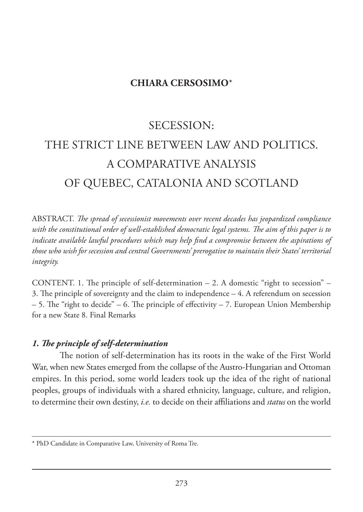## **CHIARA CERSOSIMO**\*

# SECESSION: THE STRICT LINE BETWEEN LAW AND POLITICS. A COMPARATIVE ANALYSIS OF QUEBEC, CATALONIA AND SCOTLAND

ABSTRACT. *The spread of secessionist movements over recent decades has jeopardized compliance with the constitutional order of well-established democratic legal systems. The aim of this paper is to indicate available lawful procedures which may help find a compromise between the aspirations of those who wish for secession and central Governments' prerogative to maintain their States' territorial integrity.*

CONTENT. 1. The principle of self-determination  $-2$ . A domestic "right to secession"  $-$ 3. The principle of sovereignty and the claim to independence – 4. A referendum on secession  $-5$ . The "right to decide" – 6. The principle of effectivity – 7. European Union Membership for a new State 8. Final Remarks

## *1. The principle of self-determination*

The notion of self-determination has its roots in the wake of the First World War, when new States emerged from the collapse of the Austro-Hungarian and Ottoman empires. In this period, some world leaders took up the idea of the right of national peoples, groups of individuals with a shared ethnicity, language, culture, and religion, to determine their own destiny, *i.e.* to decide on their affiliations and *status* on the world

<sup>\*</sup> PhD Candidate in Comparative Law, University of Roma Tre.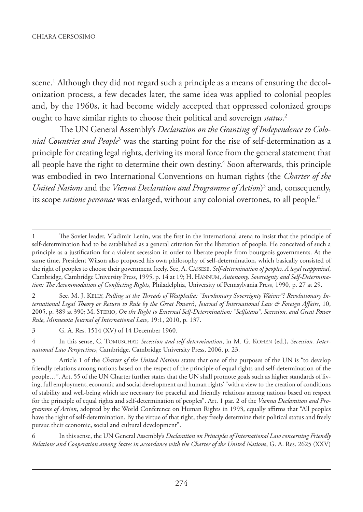scene.1 Although they did not regard such a principle as a means of ensuring the decolonization process, a few decades later, the same idea was applied to colonial peoples and, by the 1960s, it had become widely accepted that oppressed colonized groups ought to have similar rights to choose their political and sovereign *status*. 2

The UN General Assembly's *Declaration on the Granting of Independence to Colonial Countries and People*<sup>3</sup> was the starting point for the rise of self-determination as a principle for creating legal rights, deriving its moral force from the general statement that all people have the right to determine their own destiny. $\rm ^4$  Soon afterwards, this principle was embodied in two International Conventions on human rights (the *Charter of the United Nations* and the *Vienna Declaration and Programme of Action*) 5 and, consequently, its scope *ratione personae* was enlarged, without any colonial overtones, to all people.<sup>6</sup>

2 See, M. J. KELLY, *Pulling at the Threads of Westphalia: "Involuntary Sovereignty Waiver"? Revolutionary International Legal Theory or Return to Rule by the Great Powers*?, *Journal of International Law & Foreign Affairs*, 10, 2005, p. 389 at 390; M. STERIO, *On the Right to External Self-Determination: "Selfistans", Secession, and Great Power Rule*, *Minnesota Journal of International Law*, 19:1, 2010, p. 137.

3 G. A. Res. 1514 (XV) of 14 December 1960.

4 In this sense, C. TOMUSCHAT, *Secession and self-determination*, in M. G. KOHEN (ed.), *Secession. International Law Perspectives*, Cambridge, Cambridge University Press, 2006, p. 23.

6 In this sense, the UN General Assembly's *Declaration on Principles of International Law concerning Friendly Relations and Cooperation among States in accordance with the Charter of the United Nation*s, G. A. Res. 2625 (XXV)

<sup>1</sup> The Soviet leader, Vladimir Lenin, was the first in the international arena to insist that the principle of self-determination had to be established as a general criterion for the liberation of people. He conceived of such a principle as a justification for a violent secession in order to liberate people from bourgeois governments. At the same time, President Wilson also proposed his own philosophy of self-determination, which basically consisted of the right of peoples to choose their government freely. See, A. CASSESE, *Self-determination of peoples. A legal reappraisal*, Cambridge, Cambridge University Press, 1995, p. 14 at 19; H. HANNUM, *Autonomy, Sovereignty and Self-Determination: The Accommodation of Conflicting Rights*, Philadelphia, University of Pennsylvania Press, 1990, p. 27 at 29.

<sup>5</sup> Article 1 of the *Charter of the United Nations* states that one of the purposes of the UN is "to develop friendly relations among nations based on the respect of the principle of equal rights and self-determination of the people…". Art. 55 of the UN Charter further states that the UN shall promote goals such as higher standards of living, full employment, economic and social development and human rights' "with a view to the creation of conditions of stability and well-being which are necessary for peaceful and friendly relations among nations based on respect for the principle of equal rights and self-determination of peoples". Art. 1 par. 2 of the *Vienna Declaration and Programme of Action*, adopted by the World Conference on Human Rights in 1993, equally affirms that "All peoples have the right of self-determination. By the virtue of that right, they freely determine their political status and freely pursue their economic, social and cultural development".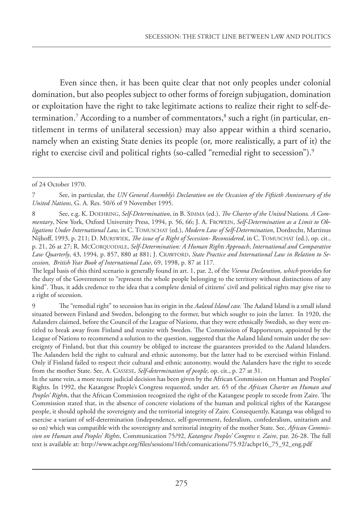Even since then, it has been quite clear that not only peoples under colonial domination, but also peoples subject to other forms of foreign subjugation, domination or exploitation have the right to take legitimate actions to realize their right to self-determination.<sup>7</sup> According to a number of commentators,<sup>8</sup> such a right (in particular, entitlement in terms of unilateral secession) may also appear within a third scenario, namely when an existing State denies its people (or, more realistically, a part of it) the right to exercise civil and political rights (so-called "remedial right to secession").<sup>9</sup>

of 24 October 1970.

<sup>7</sup> See, in particular, the *UN General Assembly's Declaration on the Occasion of the Fiftieth Anniversary of the United Nations*, G. A. Res. 50/6 of 9 November 1995.

<sup>8</sup> See, e.g. K. DOEHRING, *Self-Determination*, in B. SIMMA (ed.), *The Charter of the United* Nations*. A Commentary*, New York, Oxford University Press, 1994, p. 56, 66; J. A. FROWEIN, *Self-Determination as a Limit to Obligations Under International Law,* in C. TOMUSCHAT (ed.), *Modern Law of Self-Determination*, Dordrecht, Martinus Nijhoff, 1993, p. 211; D. MURSWIEK, *The issue of a Right of Secession- Reconsidered*, in C. TOMUSCHAT (ed.), op. cit., p. 21, 26 at 27; R. MCCORQUODALE, *Self-Determination: A Human Rights Approach*, *International and Comparative Law Quarterly*, 43, 1994, p. 857, 880 at 881; J. CRAWFORD, *State Practice and International Law in Relation to Secession*, *British Year Book of International Law*, 69, 1998, p. 87 at 117.

The legal basis of this third scenario is generally found in art. 1, par. 2, of the *Vienna Declaration, which* provides for the duty of the Government to "represent the whole people belonging to the territory without distinctions of any kind". Thus, it adds credence to the idea that a complete denial of citizens' civil and political rights may give rise to a right of secession.

<sup>9</sup> The "remedial right" to secession has its origin in the *Aaland Island case.* The Aaland Island is a small island situated between Finland and Sweden, belonging to the former, but which sought to join the latter. In 1920, the Aalanders claimed, before the Council of the League of Nations, that they were ethnically Swedish, so they were entitled to break away from Finland and reunite with Sweden. The Commission of Rapporteurs, appointed by the League of Nations to recommend a solution to the question, suggested that the Aaland Island remain under the sovereignty of Finland, but that this country be obliged to increase the guarantees provided to the Aaland Islanders. The Aalanders held the right to cultural and ethnic autonomy, but the latter had to be exercised within Finland. Only if Finland failed to respect their cultural and ethnic autonomy, would the Aalanders have the right to secede from the mother State. See, A. CASSESE, *Self-determination of people*, op. cit., p. 27 at 31.

In the same vein, a more recent judicial decision has been given by the African Commission on Human and Peoples' Rights. In 1992, the Katangese People's Congress requested, under art. 65 of the *African Charter on Human and Peoples' Right*s, that the African Commission recognized the right of the Katangese people to secede from Zaire. The Commission stated that, in the absence of concrete violations of the human and political rights of the Katangese people, it should uphold the sovereignty and the territorial integrity of Zaire. Consequently, Katanga was obliged to exercise a variant of self-determination (independence, self-government, federalism, confederalism, unitarism and so on) which was compatible with the sovereignty and territorial integrity of the mother State. See, *African Commission on Human and Peoples' Rights*, Communication 75/92, *Katangese Peoples' Congress v. Zaire*, par. 26-28. The full text is available at: http://www.achpr.org/files/sessions/16th/comunications/75.92/achpr16\_75\_92\_eng.pdf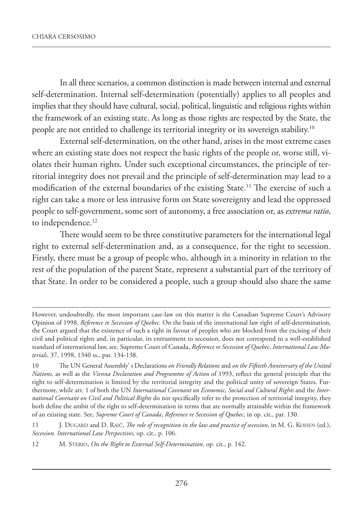In all three scenarios, a common distinction is made between internal and external self-determination. Internal self-determination (potentially) applies to all peoples and implies that they should have cultural, social, political, linguistic and religious rights within the framework of an existing state. As long as those rights are respected by the State, the people are not entitled to challenge its territorial integrity or its sovereign stability.10

External self-determination, on the other hand, arises in the most extreme cases where an existing state does not respect the basic rights of the people or, worse still, violates their human rights. Under such exceptional circumstances, the principle of territorial integrity does not prevail and the principle of self-determination may lead to a modification of the external boundaries of the existing State.11 The exercise of such a right can take a more or less intrusive form on State sovereignty and lead the oppressed people to self-government, some sort of autonomy, a free association or, as *extrema ratio*, to independence.<sup>12</sup>

There would seem to be three constitutive parameters for the international legal right to external self-determination and, as a consequence, for the right to secession. Firstly, there must be a group of people who, although in a minority in relation to the rest of the population of the parent State, represent a substantial part of the territory of that State. In order to be considered a people, such a group should also share the same

However, undoubtedly, the most important case-law on this matter is the Canadian Supreme Court's Advisory Opinion of 1998, *Reference re Secession of Quebec.* On the basis of the international law right of self-determination, the Court argued that the existence of such a right in favour of peoples who are blocked from the excising of their civil and political rights and, in particular, its entrustment to secession, does not correspond to a well-established standard of international law, see, Supreme Court of Canada, *Reference re Secession of Quebec*, *International Law Materials*, 37, 1998, 1340 ss., par. 134-138.

<sup>10</sup> The UN General Assembly' s Declarations *on Friendly Relations* and *on the Fiftieth Anniversary of the United Nations*, as well as the *Vienna Declaration and Programme of Action* of 1993, reflect the general principle that the right to self-determination is limited by the territorial integrity and the political unity of sovereign States. Furthermore, while art. 1 of both the UN *International Covenant on Economic, Social and Cultural Rights* and the *International Covenant on Civil and Political Rights* do not specifically refer to the protection of territorial integrity, they both define the ambit of the right to self-determination in terms that are normally attainable within the framework of an existing state. See, *Supreme Court of Canada*, *Reference re Secession of Quebec*, in op. cit., par. 130.

<sup>11</sup> J. DUGARD and D. RAIČ, *The role of recognition in the law and practice of secession*, in M. G. KOHEN (ed.), *Secession. International Law Perspectives,* op. cit., p. 106.

<sup>12</sup> M. STERIO, *On the Right to External Self-Determination,* op. cit., p. 142.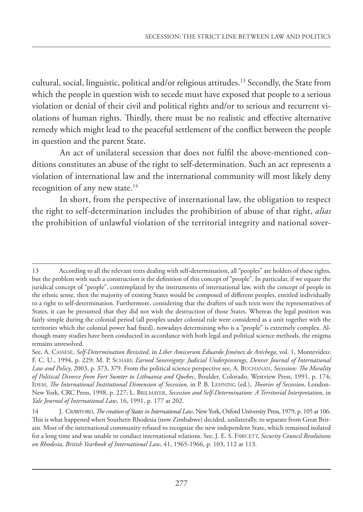cultural, social, linguistic, political and/or religious attitudes.13 Secondly, the State from which the people in question wish to secede must have exposed that people to a serious violation or denial of their civil and political rights and/or to serious and recurrent violations of human rights. Thirdly, there must be no realistic and effective alternative remedy which might lead to the peaceful settlement of the conflict between the people in question and the parent State.

An act of unilateral secession that does not fulfil the above-mentioned conditions constitutes an abuse of the right to self-determination. Such an act represents a violation of international law and the international community will most likely deny recognition of any new state. $14$ 

In short, from the perspective of international law, the obligation to respect the right to self-determination includes the prohibition of abuse of that right, *alias* the prohibition of unlawful violation of the territorial integrity and national sover-

<sup>13</sup> According to all the relevant texts dealing with self-determination, all "peoples" are holders of these rights, but the problem with such a construction is the definition of this concept of "people". In particular, if we equate the juridical concept of "people", contemplated by the instruments of international law, with the concept of people in the ethnic sense, then the majority of existing States would be composed of different peoples, entitled individually to a right to self-determination. Furthermore, considering that the drafters of such texts were the representatives of States, it can be presumed that they did not wish the destruction of those States. Whereas the legal position was fairly simple during the colonial period (all peoples under colonial rule were considered as a unit together with the territories which the colonial power had fixed), nowadays determining who is a "people" is extremely complex. Although many studies have been conducted in accordance with both legal and political science methods, the enigma remains unresolved.

See, A. CASSESE, *Self-Determination Revisited*, in *Liber Amicorum Eduardo Jiménez de Aréchega*, vol. 1, Montevideo: F. C. U., 1994, p. 229; M. P. SCHARF, *Earned Sovereignty: Judicial Underpinnings*, *Denver Journal of International Law and Policy*, 2003, p. 373, 379. From the political science perspective see, A. BUCHANAN, *Secession: The Morality of Political Divorce from Fort Sumter to Lithuania and Quebec*, Boulder, Colorado, Westview Press, 1991, p. 174; IDEM, *The International Institutional Dimension of Secession*, in P. B. LEHNING (ed.), *Theories of Secession*, London-New York, CRC Press, 1998, p. 227; L. BRILMAYER, *Secession and Self-Determination: A Territorial Interpretation*, in *Yale Journal of International Law*, 16, 1991, p. 177 at 202.

<sup>14</sup> J. CRAWFORD, *The creation of States in International Law*, New York, Oxford University Press, 1979, p. 105 at 106. This is what happened when Southern Rhodesia (now Zimbabwe) decided, unilaterally, to separate from Great Britain. Most of the international community refused to recognize the new independent State, which remained isolated for a long time and was unable to conduct international relations. See, J. E. S. FAWCETT, *Security Council Resolutions on Rhodesia*, *British Yearbook of International Law*, 41, 1965-1966, p. 103, 112 at 113.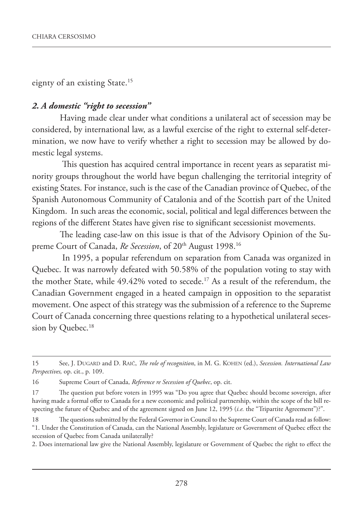eignty of an existing State.<sup>15</sup>

## *2. A domestic "right to secession"*

Having made clear under what conditions a unilateral act of secession may be considered, by international law, as a lawful exercise of the right to external self-determination, we now have to verify whether a right to secession may be allowed by domestic legal systems.

 This question has acquired central importance in recent years as separatist minority groups throughout the world have begun challenging the territorial integrity of existing States. For instance, such is the case of the Canadian province of Quebec, of the Spanish Autonomous Community of Catalonia and of the Scottish part of the United Kingdom. In such areas the economic, social, political and legal differences between the regions of the different States have given rise to significant secessionist movements.

The leading case-law on this issue is that of the Advisory Opinion of the Supreme Court of Canada, Re Secession, of 20<sup>th</sup> August 1998.<sup>16</sup>

 In 1995, a popular referendum on separation from Canada was organized in Quebec. It was narrowly defeated with 50.58% of the population voting to stay with the mother State, while 49.42% voted to secede.<sup>17</sup> As a result of the referendum, the Canadian Government engaged in a heated campaign in opposition to the separatist movement. One aspect of this strategy was the submission of a reference to the Supreme Court of Canada concerning three questions relating to a hypothetical unilateral secession by Quebec.<sup>18</sup>

2. Does international law give the National Assembly, legislature or Government of Quebec the right to effect the

<sup>15</sup> See, J. DUGARD and D. RAIČ, *The role of recognition*, in M. G. KOHEN (ed.), *Secession. International Law Perspectives,* op. cit., p. 109.

<sup>16</sup> Supreme Court of Canada, *Reference re Secession of Quebec*, op. cit.

<sup>17</sup> The question put before voters in 1995 was "Do you agree that Quebec should become sovereign, after having made a formal offer to Canada for a new economic and political partnership, within the scope of the bill respecting the future of Quebec and of the agreement signed on June 12, 1995 (*i.e.* the "Tripartite Agreement")?".

<sup>18</sup> The questions submitted by the Federal Governor in Council to the Supreme Court of Canada read as follow: "1. Under the Constitution of Canada, can the National Assembly, legislature or Government of Quebec effect the secession of Quebec from Canada unilaterally?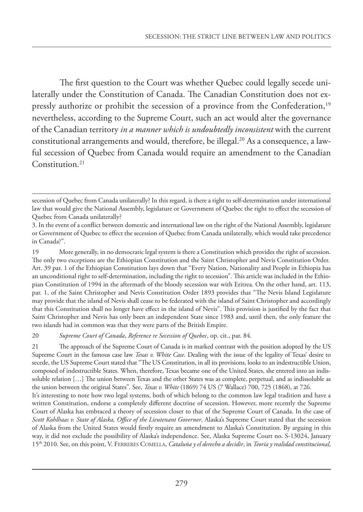The first question to the Court was whether Quebec could legally secede unilaterally under the Constitution of Canada. The Canadian Constitution does not expressly authorize or prohibit the secession of a province from the Confederation,<sup>19</sup> nevertheless, according to the Supreme Court, such an act would alter the governance of the Canadian territory *in a manner which is undoubtedly inconsistent* with the current constitutional arrangements and would, therefore, be illegal.<sup>20</sup> As a consequence, a lawful secession of Quebec from Canada would require an amendment to the Canadian Constitution.<sup>21</sup>

20 *Supreme Court of Canada*, *Reference re Secession of Quebec*, op. cit., par. 84.

21 The approach of the Supreme Court of Canada is in marked contrast with the position adopted by the US Supreme Court in the famous case law *Texas v. White Case*. Dealing with the issue of the legality of Texas' desire to secede, the US Supreme Court stated that "The US Constitution, in all its provisions, looks to an indestructible Union, composed of indestructible States. When, therefore, Texas became one of the United States, she entered into an indissoluble relation […] The union between Texas and the other States was as complete, perpetual, and as indissoluble as the union between the original States". See, *Texas v. White* (1869) 74 US (7 Wallace) 700, 725 (1868), at 726.

It's interesting to note how two legal systems, both of which belong to the common law legal tradition and have a written Constitution, endorse a completely different doctrine of secession. However, more recently the Supreme Court of Alaska has embraced a theory of secession closer to that of the Supreme Court of Canada. In the case of *Scott Kohlhaas v. State of Alaska, Office of the Lieutenant Governor*, Alaska's Supreme Court stated that the secession of Alaska from the United States would firstly require an amendment to Alaska's Constitution. By arguing in this way, it did not exclude the possibility of Alaska's independence. See, Alaska Supreme Court no. S-13024, January 15th 2010. See, on this point, V. FERRERES COMELLA, *Cataluña y el derecho a decidir*, in *Teoría y realidad constitucional*,

secession of Quebec from Canada unilaterally? In this regard, is there a right to self-determination under international law that would give the National Assembly, legislature or Government of Quebec the right to effect the secession of Quebec from Canada unilaterally?

<sup>3.</sup> In the event of a conflict between domestic and international law on the right of the National Assembly, legislature or Government of Quebec to effect the secession of Quebec from Canada unilaterally, which would take precedence in Canada?".

<sup>19</sup> More generally, in no democratic legal system is there a Constitution which provides the right of secession. The only two exceptions are the Ethiopian Constitution and the Saint Christopher and Nevis Constitution Order. Art. 39 par. 1 of the Ethiopian Constitution lays down that "Every Nation, Nationality and People in Ethiopia has an unconditional right to self-determination, including the right to secession". This article was included in the Ethiopian Constitution of 1994 in the aftermath of the bloody secession war with Eritrea. On the other hand, art. 113, par. 1, of the Saint Christopher and Nevis Constitution Order 1893 provides that "The Nevis Island Legislature may provide that the island of Nevis shall cease to be federated with the island of Saint Christopher and accordingly that this Constitution shall no longer have effect in the island of Nevis". This provision is justified by the fact that Saint Christopher and Nevis has only been an independent State since 1983 and, until then, the only feature the two islands had in common was that they were parts of the British Empire.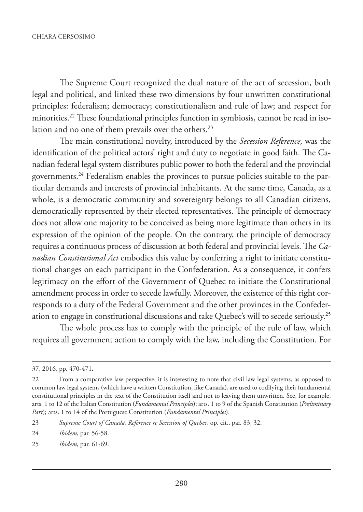The Supreme Court recognized the dual nature of the act of secession, both legal and political, and linked these two dimensions by four unwritten constitutional principles: federalism; democracy; constitutionalism and rule of law; and respect for minorities.22 These foundational principles function in symbiosis, cannot be read in isolation and no one of them prevails over the others.<sup>23</sup>

The main constitutional novelty, introduced by the *Secession Reference,* was the identification of the political actors' right and duty to negotiate in good faith. The Canadian federal legal system distributes public power to both the federal and the provincial governments.24 Federalism enables the provinces to pursue policies suitable to the particular demands and interests of provincial inhabitants. At the same time, Canada, as a whole, is a democratic community and sovereignty belongs to all Canadian citizens, democratically represented by their elected representatives. The principle of democracy does not allow one majority to be conceived as being more legitimate than others in its expression of the opinion of the people. On the contrary, the principle of democracy requires a continuous process of discussion at both federal and provincial levels. The *Canadian Constitutional Act* embodies this value by conferring a right to initiate constitutional changes on each participant in the Confederation. As a consequence, it confers legitimacy on the effort of the Government of Quebec to initiate the Constitutional amendment process in order to secede lawfully. Moreover, the existence of this right corresponds to a duty of the Federal Government and the other provinces in the Confederation to engage in constitutional discussions and take Quebec's will to secede seriously.25

The whole process has to comply with the principle of the rule of law, which requires all government action to comply with the law, including the Constitution. For

<sup>37, 2016,</sup> pp. 470-471.

<sup>22</sup> From a comparative law perspective, it is interesting to note that civil law legal systems, as opposed to common law legal systems (which have a written Constitution, like Canada), are used to codifying their fundamental constitutional principles in the text of the Constitution itself and not to leaving them unwritten. See, for example, arts. 1 to 12 of the Italian Constitution (*Fundamental Principles*); arts. 1 to 9 of the Spanish Constitution (*Preliminary Part*); arts. 1 to 14 of the Portuguese Constitution (*Fundamental Principles*).

<sup>23</sup> *Supreme Court of Canada*, *Reference re Secession of Quebec*, op. cit*.*, par. 83, 32.

<sup>24</sup> *Ibidem*, par. 56-58.

<sup>25</sup> *Ibidem*, par. 61-69.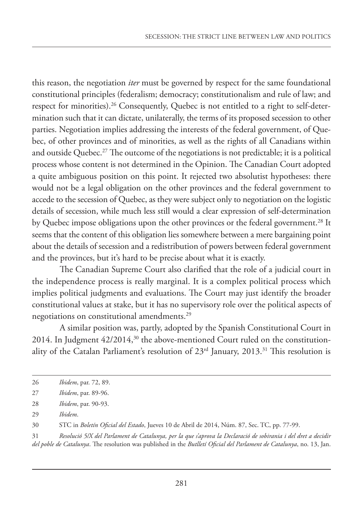this reason, the negotiation *iter* must be governed by respect for the same foundational constitutional principles (federalism; democracy; constitutionalism and rule of law; and respect for minorities).26 Consequently, Quebec is not entitled to a right to self-determination such that it can dictate, unilaterally, the terms of its proposed secession to other parties. Negotiation implies addressing the interests of the federal government, of Quebec, of other provinces and of minorities, as well as the rights of all Canadians within and outside Quebec.<sup>27</sup> The outcome of the negotiations is not predictable; it is a political process whose content is not determined in the Opinion. The Canadian Court adopted a quite ambiguous position on this point. It rejected two absolutist hypotheses: there would not be a legal obligation on the other provinces and the federal government to accede to the secession of Quebec, as they were subject only to negotiation on the logistic details of secession, while much less still would a clear expression of self-determination by Quebec impose obligations upon the other provinces or the federal government.<sup>28</sup> It seems that the content of this obligation lies somewhere between a mere bargaining point about the details of secession and a redistribution of powers between federal government and the provinces, but it's hard to be precise about what it is exactly.

The Canadian Supreme Court also clarified that the role of a judicial court in the independence process is really marginal. It is a complex political process which implies political judgments and evaluations. The Court may just identify the broader constitutional values at stake, but it has no supervisory role over the political aspects of negotiations on constitutional amendments.29

A similar position was, partly, adopted by the Spanish Constitutional Court in 2014. In Judgment  $42/2014$ ,<sup>30</sup> the above-mentioned Court ruled on the constitutionality of the Catalan Parliament's resolution of  $23<sup>rd</sup>$  January,  $2013<sup>31</sup>$  This resolution is

31 *Resolució 5/X del Parlament de Catalunya, per la que s'aprova la Declaració de sobirania i del dret a decidir del poble de Catalunya*. The resolution was published in the *Butlletí Oficial del Parlament de Catalunya*, no. 13, Jan.

<sup>26</sup> *Ibidem*, par. 72, 89.

<sup>27</sup> *Ibidem*, par. 89-96.

<sup>28</sup> *Ibidem*, par. 90-93.

<sup>29</sup> *Ibidem*.

<sup>30</sup> STC in *Boletín Oficial del Estado*, Jueves 10 de Abril de 2014, Núm. 87, Sec. TC, pp. 77-99.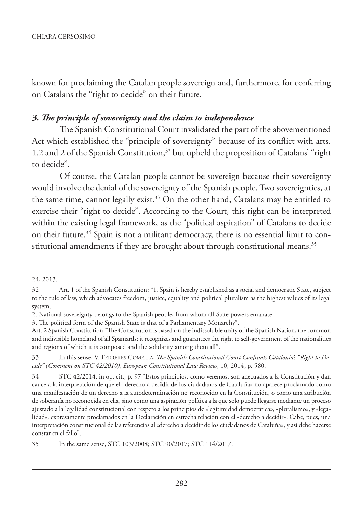known for proclaiming the Catalan people sovereign and, furthermore, for conferring on Catalans the "right to decide" on their future.

#### *3. The principle of sovereignty and the claim to independence*

The Spanish Constitutional Court invalidated the part of the abovementioned Act which established the "principle of sovereignty" because of its conflict with arts. 1.2 and 2 of the Spanish Constitution,<sup>32</sup> but upheld the proposition of Catalans' "right to decide".

Of course, the Catalan people cannot be sovereign because their sovereignty would involve the denial of the sovereignty of the Spanish people. Two sovereignties, at the same time, cannot legally exist.<sup>33</sup> On the other hand, Catalans may be entitled to exercise their "right to decide". According to the Court, this right can be interpreted within the existing legal framework, as the "political aspiration" of Catalans to decide on their future.<sup>34</sup> Spain is not a militant democracy, there is no essential limit to constitutional amendments if they are brought about through constitutional means.<sup>35</sup>

<sup>24, 2013.</sup>

<sup>32</sup> Art. 1 of the Spanish Constitution: "1. Spain is hereby established as a social and democratic State, subject to the rule of law, which advocates freedom, justice, equality and political pluralism as the highest values of its legal system.

<sup>2.</sup> National sovereignty belongs to the Spanish people, from whom all State powers emanate.

<sup>3.</sup> The political form of the Spanish State is that of a Parliamentary Monarchy".

Art. 2 Spanish Constitution "The Constitution is based on the indissoluble unity of the Spanish Nation, the common and indivisible homeland of all Spaniards; it recognizes and guarantees the right to self-government of the nationalities and regions of which it is composed and the solidarity among them all".

<sup>33</sup> In this sense, V. FERRERES COMELLA, *The Spanish Constitutional Court Confronts Catalonia's "Right to Decide" (Comment on STC 42/2010)*, *European Constitutional Law Review*, 10, 2014, p. 580.

<sup>34</sup> STC 42/2014, in op. cit., p. 97 "Estos principios, como veremos, son adecuados a la Constitución y dan cauce a la interpretación de que el «derecho a decidir de los ciudadanos de Cataluña» no aparece proclamado como una manifestación de un derecho a la autodeterminación no reconocido en la Constitución, o como una atribución de soberanía no reconocida en ella, sino como una aspiración política a la que solo puede llegarse mediante un proceso ajustado a la legalidad constitucional con respeto a los principios de «legitimidad democrática», «pluralismo», y «legalidad», expresamente proclamados en la Declaración en estrecha relación con el «derecho a decidir». Cabe, pues, una interpretación constitucional de las referencias al «derecho a decidir de los ciudadanos de Cataluña», y así debe hacerse constar en el fallo".

<sup>35</sup> In the same sense, STC 103/2008; STC 90/2017; STC 114/2017.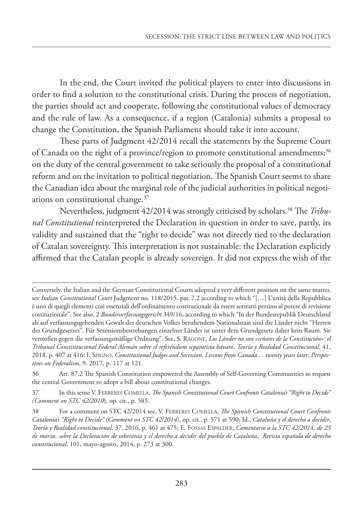In the end, the Court invited the political players to enter into discussions in order to find a solution to the constitutional crisis. During the process of negotiation, the parties should act and cooperate, following the constitutional values of democracy and the rule of law. As a consequence, if a region (Catalonia) submits a proposal to change the Constitution, the Spanish Parliament should take it into account.

These parts of Judgment 42/2014 recall the statements by the Supreme Court of Canada on the right of a province/region to promote constitutional amendments;<sup>36</sup> on the duty of the central government to take seriously the proposal of a constitutional reform and on the invitation to political negotiation. The Spanish Court seems to share the Canadian idea about the marginal role of the judicial authorities in political negotiations on constitutional change.37

Nevertheless, judgment 42/2014 was strongly criticised by scholars.38 The *Tribunal Constitutional* reinterpreted the Declaration in question in order to save, partly, its validity and sustained that the "right to decide" was not directly tied to the declaration of Catalan sovereignty. This interpretation is not sustainable: the Declaration explicitly affirmed that the Catalan people is already sovereign. It did not express the wish of the

Conversely, the Italian and the German Constitutional Courts adopted a very different position on the same matter, see *Italian Constitutional Court* Judgment no. 118/2015, par. 7.2 according to which "[…] L'unità della Repubblica è uno di quegli elementi così essenziali dell'ordinamento costituzionale da essere sottratti persino al potere di revisione costituzionale". See also, 2 *Bundesverfassungsgericht* 349/16, according to which "In der Bundesrepublik Deutschland als auf verfassungsgebenden Gewalt des deutschen Volkes beruhendem Nationalstaat sind die Länder nicht "Herren des Grundgesetzes". Für Sezessionsbestrebungen einzelner Länder ist unter dem Grundgesetz daher kein Raum. Sie verstoßen gegen die verfassungsmäßige Ordnung". See, S. RAGONE, *Los Länder no son «señores de la Constitución»: el Tribunal Constititucional Federal Alemán sobre el referéndum separatista bávaro*, *Teoría y Realidad Constitucional*, 41, 2018, p. 407 at 416; I. SPIGNO, *Constitutional Judges and Secession. Lessons from Canada… twenty years later*, *Perspectives on Federalism*, 9, 2017, p. 117 at 121.

<sup>36</sup> Art. 87.2 The Spanish Constitution empowered the Assembly of Self-Governing Communities to request the central Government to adopt a bill about constitutional changes.

<sup>37</sup> In this sense V. FERRERES COMELLA, *The Spanish Constitutional Court Confronts Catalonia's "Right to Decide" (Comment on STC 42/2010*), op. cit., p. 585.

<sup>38</sup> For a comment on STC 42/2014 see, V. FERRERES COMELLA, *The Spanish Constitutional Court Confronts Catalonia's "Right to Decide" (Comment on STC 42/2014*), op. cit., p. 571 at 590; Id., *Cataluña y el derecho a decidir*, *Teoría y Realidad constitucional*, 37, 2016, p. 461 at 475; E. FOSSAS ESPALDER, *Comentario a la STC 42/2014, de 25 de marzo, sobre la Declaración de soberanía y el derecho a decidir del pueblo de Cataluña*, *Revista española de derecho constitucional*, 101, mayo-agosto, 2014, p. 273 at 300.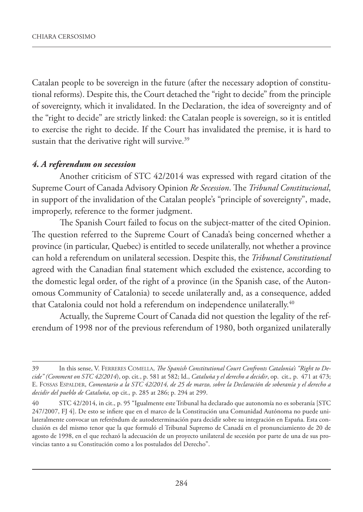Catalan people to be sovereign in the future (after the necessary adoption of constitutional reforms). Despite this, the Court detached the "right to decide" from the principle of sovereignty, which it invalidated. In the Declaration, the idea of sovereignty and of the "right to decide" are strictly linked: the Catalan people is sovereign, so it is entitled to exercise the right to decide. If the Court has invalidated the premise, it is hard to sustain that the derivative right will survive.<sup>39</sup>

## *4. A referendum on secession*

Another criticism of STC 42/2014 was expressed with regard citation of the Supreme Court of Canada Advisory Opinion *Re Secession*. The *Tribunal Constitucional*, in support of the invalidation of the Catalan people's "principle of sovereignty", made, improperly, reference to the former judgment.

The Spanish Court failed to focus on the subject-matter of the cited Opinion. The question referred to the Supreme Court of Canada's being concerned whether a province (in particular, Quebec) is entitled to secede unilaterally, not whether a province can hold a referendum on unilateral secession. Despite this, the *Tribunal Constitutional* agreed with the Canadian final statement which excluded the existence, according to the domestic legal order, of the right of a province (in the Spanish case, of the Autonomous Community of Catalonia) to secede unilaterally and, as a consequence, added that Catalonia could not hold a referendum on independence unilaterally.<sup>40</sup>

Actually, the Supreme Court of Canada did not question the legality of the referendum of 1998 nor of the previous referendum of 1980, both organized unilaterally

<sup>39</sup> In this sense, V. FERRERES COMELLA, *The Spanish Constitutional Court Confronts Catalonia's "Right to Decide" (Comment on STC 42/2014*), op. cit*.*, p. 581 at 582; Id., *Cataluña y el derecho a decidir*, op. cit.*,* p. 471 at 473; E. FOSSAS ESPALDER, *Comentario a la STC 42/2014, de 25 de marzo, sobre la Declaración de soberanía y el derecho a decidir del pueblo de Cataluña*, op cit.*,* p. 285 at 286; p. 294 at 299.

<sup>40</sup> STC 42/2014, in cit., p. 95 "Igualmente este Tribunal ha declarado que autonomía no es soberanía [STC 247/2007, FJ 4]. De esto se infiere que en el marco de la Constitución una Comunidad Autónoma no puede unilateralmente convocar un referéndum de autodeterminación para decidir sobre su integración en España. Esta conclusión es del mismo tenor que la que formuló el Tribunal Supremo de Canadá en el pronunciamiento de 20 de agosto de 1998, en el que rechazó la adecuación de un proyecto unilateral de secesión por parte de una de sus provincias tanto a su Constitución como a los postulados del Derecho".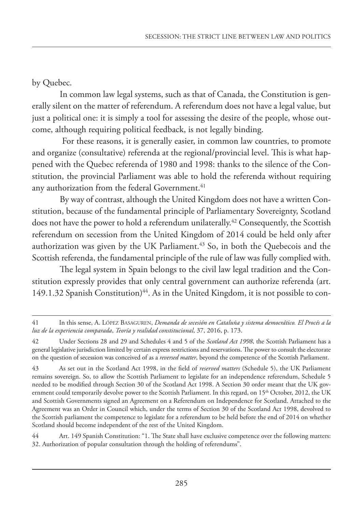## by Quebec.

In common law legal systems, such as that of Canada, the Constitution is generally silent on the matter of referendum. A referendum does not have a legal value, but just a political one: it is simply a tool for assessing the desire of the people, whose outcome, although requiring political feedback, is not legally binding.

 For these reasons, it is generally easier, in common law countries, to promote and organize (consultative) referenda at the regional/provincial level. This is what happened with the Quebec referenda of 1980 and 1998: thanks to the silence of the Constitution, the provincial Parliament was able to hold the referenda without requiring any authorization from the federal Government.<sup>41</sup>

By way of contrast, although the United Kingdom does not have a written Constitution, because of the fundamental principle of Parliamentary Sovereignty, Scotland does not have the power to hold a referendum unilaterally.<sup>42</sup> Consequently, the Scottish referendum on secession from the United Kingdom of 2014 could be held only after authorization was given by the UK Parliament.<sup>43</sup> So, in both the Quebecois and the Scottish referenda, the fundamental principle of the rule of law was fully complied with.

The legal system in Spain belongs to the civil law legal tradition and the Constitution expressly provides that only central government can authorize referenda (art. 149.1.32 Spanish Constitution)<sup>44</sup>. As in the United Kingdom, it is not possible to con-

44 Art. 149 Spanish Constitution: "1. The State shall have exclusive competence over the following matters: 32. Authorization of popular consultation through the holding of referendums".

<sup>41</sup> In this sense, A. LÓPEZ BASAGUREN, *Demanda de secesión en Cataluña y sistema democrático. El Procés a la luz de la experiencia comparada*, *Teoría y realidad constitucional*, 37, 2016, p. 173.

<sup>42</sup> Under Sections 28 and 29 and Schedules 4 and 5 of the *Scotland Act 1998*, the Scottish Parliament has a general legislative jurisdiction limited by certain express restrictions and reservations. The power to consult the electorate on the question of secession was conceived of as a *reversed matter*, beyond the competence of the Scottish Parliament.

<sup>43</sup> As set out in the Scotland Act 1998, in the field of *reserved matters* (Schedule 5), the UK Parliament remains sovereign. So, to allow the Scottish Parliament to legislate for an independence referendum, Schedule 5 needed to be modified through Section 30 of the Scotland Act 1998. A Section 30 order meant that the UK government could temporarily devolve power to the Scottish Parliament. In this regard, on 15<sup>th</sup> October, 2012, the UK and Scottish Governments signed an Agreement on a Referendum on Independence for Scotland. Attached to the Agreement was an Order in Council which, under the terms of Section 30 of the Scotland Act 1998, devolved to the Scottish parliament the competence to legislate for a referendum to be held before the end of 2014 on whether Scotland should become independent of the rest of the United Kingdom.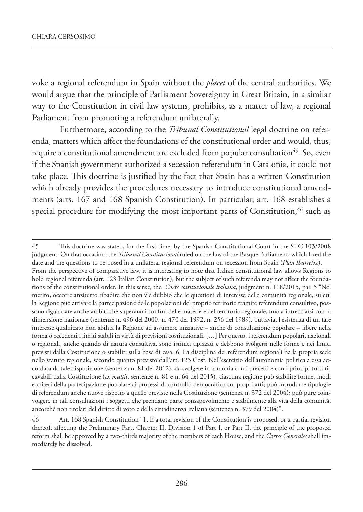voke a regional referendum in Spain without the *placet* of the central authorities. We would argue that the principle of Parliament Sovereignty in Great Britain, in a similar way to the Constitution in civil law systems, prohibits, as a matter of law, a regional Parliament from promoting a referendum unilaterally.

Furthermore, according to the *Tribunal Constitutional* legal doctrine on referenda, matters which affect the foundations of the constitutional order and would, thus, require a constitutional amendment are excluded from popular consultation<sup>45</sup>. So, even if the Spanish government authorized a secession referendum in Catalonia, it could not take place. This doctrine is justified by the fact that Spain has a written Constitution which already provides the procedures necessary to introduce constitutional amendments (arts. 167 and 168 Spanish Constitution). In particular, art. 168 establishes a special procedure for modifying the most important parts of Constitution,<sup>46</sup> such as

<sup>45</sup> This doctrine was stated, for the first time, by the Spanish Constitutional Court in the STC 103/2008 judgment. On that occasion, the *Tribunal Constitucional* ruled on the law of the Basque Parliament, which fixed the date and the questions to be posed in a unilateral regional referendum on secession from Spain (*Plan Ibarretxe*). From the perspective of comparative law, it is interesting to note that Italian constitutional law allows Regions to hold regional referenda (art. 123 Italian Constitution), but the subject of such referenda may not affect the foundations of the constitutional order. In this sense, the *Corte costituzionale italiana*, judgment n. 118/2015, par. 5 "Nel merito, occorre anzitutto ribadire che non v'è dubbio che le questioni di interesse della comunità regionale, su cui la Regione può attivare la partecipazione delle popolazioni del proprio territorio tramite referendum consultivo, possono riguardare anche ambiti che superano i confini delle materie e del territorio regionale, fino a intrecciarsi con la dimensione nazionale (sentenze n. 496 del 2000, n. 470 del 1992, n. 256 del 1989). Tuttavia, l'esistenza di un tale interesse qualificato non abilita la Regione ad assumere iniziative – anche di consultazione popolare – libere nella forma o eccedenti i limiti stabili in virtù di previsioni costituzionali. […] Per questo, i referendum popolari, nazionali o regionali, anche quando di natura consultiva, sono istituti tipizzati e debbono svolgersi nelle forme e nei limiti previsti dalla Costituzione o stabiliti sulla base di essa. 6. La disciplina dei referendum regionali ha la propria sede nello statuto regionale, secondo quanto previsto dall'art. 123 Cost. Nell'esercizio dell'autonomia politica a essa accordata da tale disposizione (sentenza n. 81 del 2012), da svolgere in armonia con i precetti e con i principi tutti ricavabili dalla Costituzione (*ex multis*, sentenze n. 81 e n. 64 del 2015), ciascuna regione può stabilire forme, modi e criteri della partecipazione popolare ai processi di controllo democratico sui propri atti; può introdurre tipologie di referendum anche nuove rispetto a quelle previste nella Costituzione (sentenza n. 372 del 2004); può pure coinvolgere in tali consultazioni i soggetti che prendano parte consapevolmente e stabilmente alla vita della comunità, ancorché non titolari del diritto di voto e della cittadinanza italiana (sentenza n. 379 del 2004)".

<sup>46</sup> Art. 168 Spanish Constitution "1. If a total revision of the Constitution is proposed, or a partial revision thereof, affecting the Preliminary Part, Chapter II, Division 1 of Part I, or Part II, the principle of the proposed reform shall be approved by a two-thirds majority of the members of each House, and the *Cortes Generales* shall immediately be dissolved.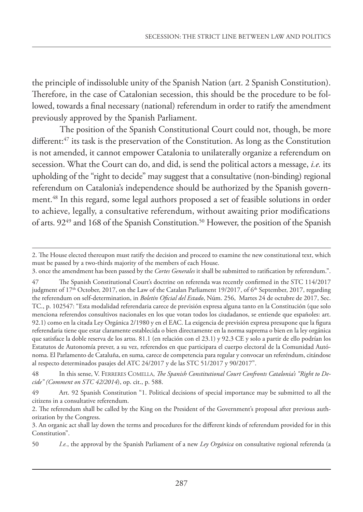the principle of indissoluble unity of the Spanish Nation (art. 2 Spanish Constitution). Therefore, in the case of Catalonian secession, this should be the procedure to be followed, towards a final necessary (national) referendum in order to ratify the amendment previously approved by the Spanish Parliament.

The position of the Spanish Constitutional Court could not, though, be more different:<sup>47</sup> its task is the preservation of the Constitution. As long as the Constitution is not amended, it cannot empower Catalonia to unilaterally organize a referendum on secession. What the Court can do, and did, is send the political actors a message, *i.e.* its upholding of the "right to decide" may suggest that a consultative (non-binding) regional referendum on Catalonia's independence should be authorized by the Spanish government.48 In this regard, some legal authors proposed a set of feasible solutions in order to achieve, legally, a consultative referendum, without awaiting prior modifications of arts.  $92^{49}$  and 168 of the Spanish Constitution.<sup>50</sup> However, the position of the Spanish

<sup>2.</sup> The House elected thereupon must ratify the decision and proceed to examine the new constitutional text, which must be passed by a two-thirds majority of the members of each House.

<sup>3.</sup> once the amendment has been passed by the *Cortes Generales* it shall be submitted to ratification by referendum.".

<sup>47</sup> The Spanish Constitutional Court's doctrine on referenda was recently confirmed in the STC 114/2017 judgment of 17<sup>th</sup> October, 2017, on the Law of the Catalan Parliament 19/2017, of 6<sup>th</sup> September, 2017, regarding the referendum on self-determination, in *Boletín Oficial del Estado*, Núm. 256, Martes 24 de octubre de 2017, Sec. TC., p. 102547: "Esta modalidad referendaria carece de previsión expresa alguna tanto en la Constitución (que solo menciona referendos consultivos nacionales en los que votan todos los ciudadanos, se entiende que españoles: art. 92.1) como en la citada Ley Orgánica 2/1980 y en el EAC. La exigencia de previsión expresa presupone que la figura referendaria tiene que estar claramente establecida o bien directamente en la norma suprema o bien en la ley orgánica que satisface la doble reserva de los artss. 81.1 (en relación con el 23.1) y 92.3 CE y solo a partir de ello podrían los Estatutos de Autonomía prever, a su vez, referendos en que participara el cuerpo electoral de la Comunidad Autónoma. El Parlamento de Cataluña, en suma, carece de competencia para regular y convocar un referéndum, citándose al respecto determinados pasajes del ATC 24/2017 y de las STC 51/2017 y 90/2017".

<sup>48</sup> In this sense, V. FERRERES COMELLA, *The Spanish Constitutional Court Confronts Catalonia's "Right to Decide" (Comment on STC 42/2014*), op. cit., p. 588.

<sup>49</sup> Art. 92 Spanish Constitution "1. Political decisions of special importance may be submitted to all the citizens in a consultative referendum.

<sup>2.</sup> The referendum shall be called by the King on the President of the Government's proposal after previous authorization by the Congress.

<sup>3.</sup> An organic act shall lay down the terms and procedures for the different kinds of referendum provided for in this Constitution".

<sup>50</sup> *I.e.*, the approval by the Spanish Parliament of a new *Ley Orgánica* on consultative regional referenda (a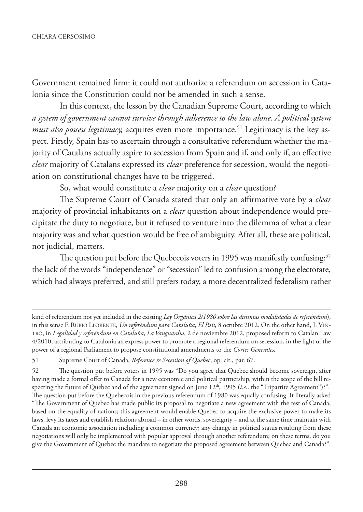Government remained firm: it could not authorize a referendum on secession in Catalonia since the Constitution could not be amended in such a sense.

In this context, the lesson by the Canadian Supreme Court, according to which *a system of government cannot survive through adherence to the law alone. A political system must also possess legitimacy*, acquires even more importance.<sup>51</sup> Legitimacy is the key aspect. Firstly, Spain has to ascertain through a consultative referendum whether the majority of Catalans actually aspire to secession from Spain and if, and only if, an effective *clear* majority of Catalans expressed its *clear* preference for secession, would the negotiation on constitutional changes have to be triggered.

So, what would constitute a *clear* majority on a *clear* question?

The Supreme Court of Canada stated that only an affirmative vote by a *clear* majority of provincial inhabitants on a *clear* question about independence would precipitate the duty to negotiate, but it refused to venture into the dilemma of what a clear majority was and what question would be free of ambiguity. After all, these are political, not judicial, matters.

The question put before the Quebecois voters in 1995 was manifestly confusing:<sup>52</sup> the lack of the words "independence" or "secession" led to confusion among the electorate, which had always preferred, and still prefers today, a more decentralized federalism rather

kind of referendum not yet included in the existing *Ley Orgánica 2/1980 sobre las distintas modalidades de referéndum*), in this sense F. RUBIO LLORENTE, *Un referéndum para Cataluña*, *El País*, 8 octubre 2012. On the other hand, J. VIN-TRÓ, in *Legalidad y referéndum en Cataluña*, *La Vanguardia*, 2 de noviembre 2012, proposed reform to Catalan Law 4/2010, attributing to Catalonia an express power to promote a regional referendum on secession, in the light of the power of a regional Parliament to propose constitutional amendments to the *Cortes Generales.*

<sup>51</sup> Supreme Court of Canada, *Reference re Secession of Quebec*, op. cit., par. 67.

<sup>52</sup> The question put before voters in 1995 was "Do you agree that Quebec should become sovereign, after having made a formal offer to Canada for a new economic and political partnership, within the scope of the bill respecting the future of Quebec and of the agreement signed on June 12<sup>th</sup>, 1995 (*i.e.*. the "Tripartite Agreement")?". The question put before the Quebecois in the previous referendum of 1980 was equally confusing. It literally asked "The Government of Quebec has made public its proposal to negotiate a new agreement with the rest of Canada, based on the equality of nations; this agreement would enable Quebec to acquire the exclusive power to make its laws, levy its taxes and establish relations abroad – in other words, sovereignty – and at the same time maintain with Canada an economic association including a common currency; any change in political status resulting from these negotiations will only be implemented with popular approval through another referendum; on these terms, do you give the Government of Quebec the mandate to negotiate the proposed agreement between Quebec and Canada?".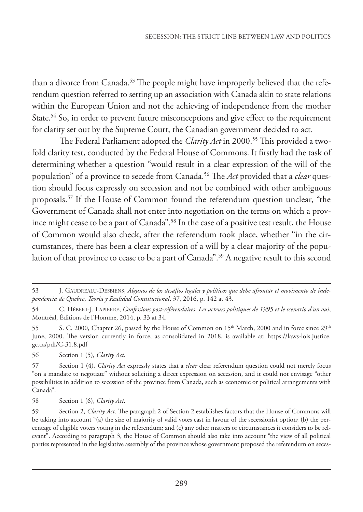than a divorce from Canada.<sup>53</sup> The people might have improperly believed that the referendum question referred to setting up an association with Canada akin to state relations within the European Union and not the achieving of independence from the mother State.<sup>54</sup> So, in order to prevent future misconceptions and give effect to the requirement for clarity set out by the Supreme Court, the Canadian government decided to act.

The Federal Parliament adopted the *Clarity Act* in 2000.<sup>55</sup> This provided a twofold clarity test, conducted by the Federal House of Commons. It firstly had the task of determining whether a question "would result in a clear expression of the will of the population" of a province to secede from Canada.56 The *Act* provided that a *clear* question should focus expressly on secession and not be combined with other ambiguous proposals.57 If the House of Common found the referendum question unclear, "the Government of Canada shall not enter into negotiation on the terms on which a province might cease to be a part of Canada".<sup>58</sup> In the case of a positive test result, the House of Common would also check, after the referendum took place, whether "in the circumstances, there has been a clear expression of a will by a clear majority of the population of that province to cease to be a part of Canada".<sup>59</sup> A negative result to this second

56 Section 1 (5), *Clarity Act*.

<sup>53</sup> J. GAUDREALU-DESBIENS, *Algunos de los desafíos legales y políticos que debe afrontar el movimento de independencia de Quebec*, *Teoría y Realidad Constitucional*, 37, 2016, p. 142 at 43.

<sup>54</sup> C. HÉBERT-J. LAPIERRE, *Confessions post-référendaires*. *Les acteurs politiques de 1995 et le scenario d'un oui*, Montréal, Éditions de l'Homme, 2014, p. 33 at 34.

<sup>55</sup> S. C. 2000, Chapter 26, passed by the House of Common on 15<sup>th</sup> March, 2000 and in force since 29<sup>th</sup> June, 2000. The version currently in force, as consolidated in 2018, is available at: https://laws-lois.justice. gc.ca/pdf/C-31.8.pdf

<sup>57</sup> Section 1 (4), *Clarity Act* expressly states that a *clear* clear referendum question could not merely focus "on a mandate to negotiate" without soliciting a direct expression on secession, and it could not envisage "other possibilities in addition to secession of the province from Canada, such as economic or political arrangements with Canada".

<sup>58</sup> Section 1 (6), *Clarity Act*.

<sup>59</sup> Section 2, *Clarity Act*. The paragraph 2 of Section 2 establishes factors that the House of Commons will be taking into account "(a) the size of majority of valid votes cast in favour of the secessionist option; (b) the percentage of eligible voters voting in the referendum; and (c) any other matters or circumstances it considers to be relevant". According to paragraph 3, the House of Common should also take into account "the view of all political parties represented in the legislative assembly of the province whose government proposed the referendum on seces-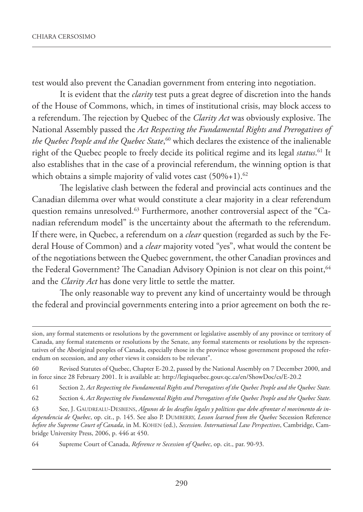test would also prevent the Canadian government from entering into negotiation.

It is evident that the *clarity* test puts a great degree of discretion into the hands of the House of Commons, which, in times of institutional crisis, may block access to a referendum. The rejection by Quebec of the *Clarity Act* was obviously explosive. The National Assembly passed the *Act Respecting the Fundamental Rights and Prerogatives of the Quebec People and the Quebec State*, 60 which declares the existence of the inalienable right of the Quebec people to freely decide its political regime and its legal *status*. 61 It also establishes that in the case of a provincial referendum, the winning option is that which obtains a simple majority of valid votes cast  $(50\% + 1).^{62}$ 

The legislative clash between the federal and provincial acts continues and the Canadian dilemma over what would constitute a clear majority in a clear referendum question remains unresolved.63 Furthermore, another controversial aspect of the "Canadian referendum model" is the uncertainty about the aftermath to the referendum. If there were, in Quebec, a referendum on a *clear* question (regarded as such by the Federal House of Common) and a *clear* majority voted "yes", what would the content be of the negotiations between the Quebec government, the other Canadian provinces and the Federal Government? The Canadian Advisory Opinion is not clear on this point,<sup>64</sup> and the *Clarity Act* has done very little to settle the matter.

The only reasonable way to prevent any kind of uncertainty would be through the federal and provincial governments entering into a prior agreement on both the re-

64 Supreme Court of Canada, *Reference re Secession of Quebec*, op. cit., par. 90-93.

sion, any formal statements or resolutions by the government or legislative assembly of any province or territory of Canada, any formal statements or resolutions by the Senate, any formal statements or resolutions by the representatives of the Aboriginal peoples of Canada, especially those in the province whose government proposed the referendum on secession, and any other views it considers to be relevant".

<sup>60</sup> Revised Statutes of Quebec, Chapter E-20.2, passed by the National Assembly on 7 December 2000, and in force since 28 February 2001. It is available at: http://legisquebec.gouv.qc.ca/en/ShowDoc/cs/E-20.2

<sup>61</sup> Section 2, *Act Respecting the Fundamental Rights and Prerogatives of the Quebec People and the Quebec State.*

<sup>62</sup> Section 4, *Act Respecting the Fundamental Rights and Prerogatives of the Quebec People and the Quebec State.*

<sup>63</sup> See, J. GAUDREALU-DESBIENS, *Algunos de los desafíos legales y políticos que debe afrontar el movimento de independencia de Quebec*, op. cit., p. 145. See also P. DUMBERRY, *Lesson learned from the Quebec* Secession Reference *before the Supreme Court of Canada*, in M. KOHEN (ed.), *Secession. International Law Perspectives*, Cambridge, Cambridge University Press, 2006, p. 446 at 450.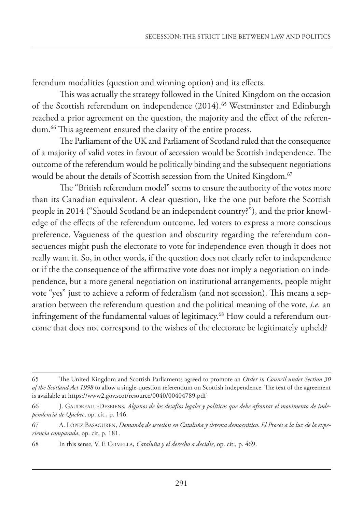ferendum modalities (question and winning option) and its effects.

This was actually the strategy followed in the United Kingdom on the occasion of the Scottish referendum on independence (2014).<sup>65</sup> Westminster and Edinburgh reached a prior agreement on the question, the majority and the effect of the referendum.<sup>66</sup> This agreement ensured the clarity of the entire process.

The Parliament of the UK and Parliament of Scotland ruled that the consequence of a majority of valid votes in favour of secession would be Scottish independence. The outcome of the referendum would be politically binding and the subsequent negotiations would be about the details of Scottish secession from the United Kingdom.<sup>67</sup>

The "British referendum model" seems to ensure the authority of the votes more than its Canadian equivalent. A clear question, like the one put before the Scottish people in 2014 ("Should Scotland be an independent country?"), and the prior knowledge of the effects of the referendum outcome, led voters to express a more conscious preference. Vagueness of the question and obscurity regarding the referendum consequences might push the electorate to vote for independence even though it does not really want it. So, in other words, if the question does not clearly refer to independence or if the the consequence of the affirmative vote does not imply a negotiation on independence, but a more general negotiation on institutional arrangements, people might vote "yes" just to achieve a reform of federalism (and not secession). This means a separation between the referendum question and the political meaning of the vote, *i.e.* an infringement of the fundamental values of legitimacy.<sup>68</sup> How could a referendum outcome that does not correspond to the wishes of the electorate be legitimately upheld?

<sup>65</sup> The United Kingdom and Scottish Parliaments agreed to promote an *Order in Council under Section 30 of the Scotland Act 1998* to allow a single-question referendum on Scottish independence. The text of the agreement is available at https://www2.gov.scot/resource/0040/00404789.pdf

<sup>66</sup> J. GAUDREALU-DESBIENS, *Algunos de los desafíos legales y políticos que debe afrontar el movimento de independencia de Quebec*, op. cit., p. 146.

<sup>67</sup> A. LÓPEZ BASAGUREN, *Demanda de secesión en Cataluña y sistema democrático. El Procés a la luz de la experiencia comparada*, op. cit, p. 181.

<sup>68</sup> In this sense, V. F. COMELLA, *Cataluña y el derecho a decidir*, op. cit., p. 469.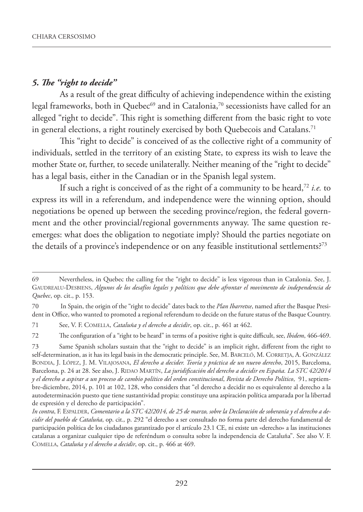## *5. The "right to decide"*

As a result of the great difficulty of achieving independence within the existing legal frameworks, both in Quebec<sup>69</sup> and in Catalonia,<sup>70</sup> secessionists have called for an alleged "right to decide". This right is something different from the basic right to vote in general elections, a right routinely exercised by both Quebecois and Catalans.71

This "right to decide" is conceived of as the collective right of a community of individuals, settled in the territory of an existing State, to express its wish to leave the mother State or, further, to secede unilaterally. Neither meaning of the "right to decide" has a legal basis, either in the Canadian or in the Spanish legal system.

If such a right is conceived of as the right of a community to be heard,72 *i.e.* to express its will in a referendum, and independence were the winning option, should negotiations be opened up between the seceding province/region, the federal government and the other provincial/regional governments anyway. The same question reemerges: what does the obligation to negotiate imply? Should the parties negotiate on the details of a province's independence or on any feasible institutional settlements?<sup>73</sup>

72 The configuration of a "right to be heard" in terms of a positive right is quite difficult, see, *Ibidem*, 466-469.

<sup>69</sup> Nevertheless, in Quebec the calling for the "right to decide" is less vigorous than in Catalonia. See, J. GAUDREALU-DESBIENS, *Algunos de los desafíos legales y políticos que debe afrontar el movimento de independencia de Quebec*, op. cit., p. 153.

<sup>70</sup> In Spain, the origin of the "right to decide" dates back to the *Plan Ibarretxe*, named after the Basque President in Office, who wanted to promoted a regional referendum to decide on the future status of the Basque Country.

<sup>71</sup> See, V. F. COMELLA, *Cataluña y el derecho a decidir*, op. cit., p. 461 at 462.

<sup>73</sup> Same Spanish scholars sustain that the "right to decide" is an implicit right, different from the right to self-determination, as it has its legal basis in the democratic principle. See, M. BARCELÓ, M. CORRETJA, A. GONZÁLEZ BONDIA, J. LÓPEZ, J. M. VILAJOSANA, *El derecho a decider. Teoría y práctica de un nuevo derecho*, 2015, Barceloma, Barcelona, p. 24 at 28. See also, J. RIDAO MARTÍN, *La juridificación del derecho a decidir en España. La STC 42/2014 y el derecho a aspirar a un proceso de cambio político del orden constitucional*, *Revista de Derecho Político*, 91, septiembre-diciembre, 2014, p. 101 at 102, 128, who considers that "el derecho a decidir no es equivalente al derecho a la autodeterminación puesto que tiene sustantividad propia: constituye una aspiración política amparada por la libertad de expresión y el derecho de participación".

*In contra*, F. ESPALDER, *Comentario a la STC 42/2014, de 25 de marzo, sobre la Declaración de soberanía y el derecho a decidir del pueblo de Cataluña*, op. cit.*,* p. 292 "el derecho a ser consultado no forma parte del derecho fundamental de participación política de los ciudadanos garantizado por el artículo 23.1 CE, ni existe un «derecho» a las instituciones catalanas a organizar cualquier tipo de referéndum o consulta sobre la independencia de Cataluña". See also V. F. COMELLA, *Cataluña y el derecho a decidir*, op. cit., p. 466 at 469.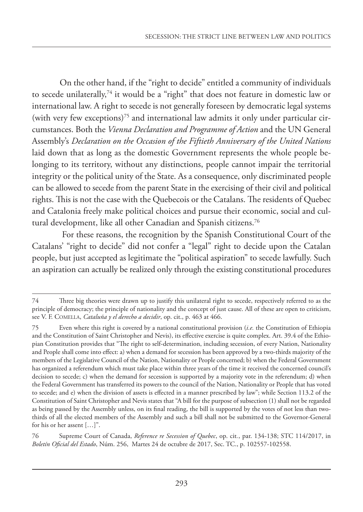On the other hand, if the "right to decide" entitled a community of individuals to secede unilaterally,74 it would be a "right" that does not feature in domestic law or international law. A right to secede is not generally foreseen by democratic legal systems (with very few exceptions)<sup>75</sup> and international law admits it only under particular circumstances. Both the *Vienna Declaration and Programme of Action* and the UN General Assembly's *Declaration on the Occasion of the Fiftieth Anniversary of the United Nations* laid down that as long as the domestic Government represents the whole people belonging to its territory, without any distinctions, people cannot impair the territorial integrity or the political unity of the State. As a consequence, only discriminated people can be allowed to secede from the parent State in the exercising of their civil and political rights. This is not the case with the Quebecois or the Catalans. The residents of Quebec and Catalonia freely make political choices and pursue their economic, social and cultural development, like all other Canadian and Spanish citizens.<sup>76</sup>

 For these reasons, the recognition by the Spanish Constitutional Court of the Catalans' "right to decide" did not confer a "legal" right to decide upon the Catalan people, but just accepted as legitimate the "political aspiration" to secede lawfully. Such an aspiration can actually be realized only through the existing constitutional procedures

<sup>74</sup> Three big theories were drawn up to justify this unilateral right to secede, respectively referred to as the principle of democracy; the principle of nationality and the concept of just cause. All of these are open to criticism, see V. F. COMELLA, *Cataluña y el derecho a decidir*, op. cit., p. 463 at 466.

<sup>75</sup> Even where this right is covered by a national constitutional provision (*i.e.* the Constitution of Ethiopia and the Constitution of Saint Christopher and Nevis), its effective exercise is quite complex. Art. 39.4 of the Ethiopian Constitution provides that "The right to self-determination, including secession, of every Nation, Nationality and People shall come into effect: a) when a demand for secession has been approved by a two-thirds majority of the members of the Legislative Council of the Nation, Nationality or People concerned; b) when the Federal Government has organized a referendum which must take place within three years of the time it received the concerned council's decision to secede; c) when the demand for secession is supported by a majority vote in the referendum; d) when the Federal Government has transferred its powers to the council of the Nation, Nationality or People that has voted to secede; and e) when the division of assets is effected in a manner prescribed by law"; while Section 113.2 of the Constitution of Saint Christopher and Nevis states that "A bill for the purpose of subsection (1) shall not be regarded as being passed by the Assembly unless, on its final reading, the bill is supported by the votes of not less than twothirds of all the elected members of the Assembly and such a bill shall not be submitted to the Governor-General for his or her assent […]".

<sup>76</sup> Supreme Court of Canada, *Reference re Secession of Quebec*, op. cit*.*, par. 134-138; STC 114/2017, in *Boletín Oficial del Estado*, Núm. 256, Martes 24 de octubre de 2017, Sec. TC., p. 102557-102558.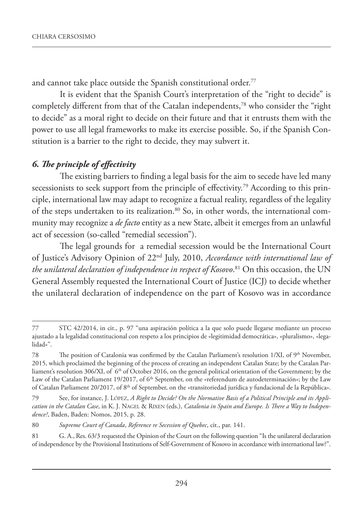and cannot take place outside the Spanish constitutional order.<sup>77</sup>

It is evident that the Spanish Court's interpretation of the "right to decide" is completely different from that of the Catalan independents,78 who consider the "right to decide" as a moral right to decide on their future and that it entrusts them with the power to use all legal frameworks to make its exercise possible. So, if the Spanish Constitution is a barrier to the right to decide, they may subvert it.

## *6. The principle of effectivity*

The existing barriers to finding a legal basis for the aim to secede have led many secessionists to seek support from the principle of effectivity.<sup>79</sup> According to this principle, international law may adapt to recognize a factual reality, regardless of the legality of the steps undertaken to its realization.<sup>80</sup> So, in other words, the international community may recognize a *de facto* entity as a new State, albeit it emerges from an unlawful act of secession (so-called "remedial secession").

The legal grounds for a remedial secession would be the International Court of Justice's Advisory Opinion of 22nd July, 2010, *Accordance with international law of the unilateral declaration of independence in respect of Kosovo*. 81 On this occasion, the UN General Assembly requested the International Court of Justice (ICJ) to decide whether the unilateral declaration of independence on the part of Kosovo was in accordance

80 *Supreme Court of Canada*, *Reference re Secession of Quebec*, cit., par. 141.

<sup>77</sup> STC 42/2014, in cit., p. 97 "una aspiración política a la que solo puede llegarse mediante un proceso ajustado a la legalidad constitucional con respeto a los principios de «legitimidad democrática», «pluralismo», «legalidad»".

<sup>78</sup> The position of Catalonia was confirmed by the Catalan Parliament's resolution 1/XI, of 9<sup>th</sup> November, 2015, which proclaimed the beginning of the process of creating an independent Catalan State; by the Catalan Parliament's resolution 306/XI, of 6<sup>th</sup> of October 2016, on the general political orientation of the Government; by the Law of the Catalan Parliament 19/2017, of 6<sup>th</sup> September, on the «referendum de autodeterminación»; by the Law of Catalan Parliament 20/2017, of 8th of September, on the «transitoriedad jurídica y fundacional de la República».

<sup>79</sup> See, for instance, J. LÓPEZ, *A Right to Decide? On the Normative Basis of a Political Principle and its Application in the Catalan Case*, in K. J. NAGEL & RIXEN (eds.), *Catalonia in Spain and Europe. Is There a Way to Independence?*, Baden, Baden: Nomos, 2015, p. 28.

<sup>81</sup> G. A., Res. 63/3 requested the Opinion of the Court on the following question "Is the unilateral declaration of independence by the Provisional Institutions of Self-Government of Kosovo in accordance with international law?".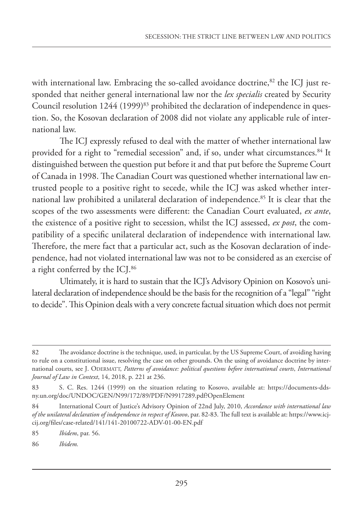with international law. Embracing the so-called avoidance doctrine, $82$  the ICJ just responded that neither general international law nor the *lex specialis* created by Security Council resolution  $1244$  (1999)<sup>83</sup> prohibited the declaration of independence in question. So, the Kosovan declaration of 2008 did not violate any applicable rule of international law.

The ICJ expressly refused to deal with the matter of whether international law provided for a right to "remedial secession" and, if so, under what circumstances.<sup>84</sup> It distinguished between the question put before it and that put before the Supreme Court of Canada in 1998. The Canadian Court was questioned whether international law entrusted people to a positive right to secede, while the ICJ was asked whether international law prohibited a unilateral declaration of independence.85 It is clear that the scopes of the two assessments were different: the Canadian Court evaluated, *ex ante*, the existence of a positive right to secession, whilst the ICJ assessed, *ex post*, the compatibility of a specific unilateral declaration of independence with international law. Therefore, the mere fact that a particular act, such as the Kosovan declaration of independence, had not violated international law was not to be considered as an exercise of a right conferred by the ICJ.86

Ultimately, it is hard to sustain that the ICJ's Advisory Opinion on Kosovo's unilateral declaration of independence should be the basis for the recognition of a "legal" "right to decide". This Opinion deals with a very concrete factual situation which does not permit

<sup>82</sup> The avoidance doctrine is the technique, used, in particular, by the US Supreme Court, of avoiding having to rule on a constitutional issue, resolving the case on other grounds. On the using of avoidance doctrine by international courts, see J. ODERMATT, *Patterns of avoidance: political questions before international courts*, *International Journal of Law in Context*, 14, 2018, p. 221 at 236.

<sup>83</sup> S. C. Res. 1244 (1999) on the situation relating to Kosovo, available at: https://documents-ddsny.un.org/doc/UNDOC/GEN/N99/172/89/PDF/N9917289.pdf?OpenElement

<sup>84</sup> International Court of Justice's Advisory Opinion of 22nd July, 2010, *Accordance with international law of the unilateral declaration of independence in respect of Kosovo*, par. 82-83. The full text is available at: https://www.icjcij.org/files/case-related/141/141-20100722-ADV-01-00-EN.pdf

<sup>85</sup> *Ibidem*, par. 56.

<sup>86</sup> *Ibidem.*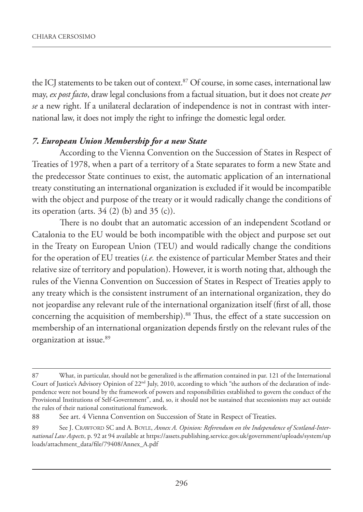the ICJ statements to be taken out of context.<sup>87</sup> Of course, in some cases, international law may, *ex post facto*, draw legal conclusions from a factual situation, but it does not create *per se* a new right. If a unilateral declaration of independence is not in contrast with international law, it does not imply the right to infringe the domestic legal order.

## *7. European Union Membership for a new State*

According to the Vienna Convention on the Succession of States in Respect of Treaties of 1978, when a part of a territory of a State separates to form a new State and the predecessor State continues to exist, the automatic application of an international treaty constituting an international organization is excluded if it would be incompatible with the object and purpose of the treaty or it would radically change the conditions of its operation (arts.  $34$  (2) (b) and  $35$  (c)).

There is no doubt that an automatic accession of an independent Scotland or Catalonia to the EU would be both incompatible with the object and purpose set out in the Treaty on European Union (TEU) and would radically change the conditions for the operation of EU treaties (*i.e.* the existence of particular Member States and their relative size of territory and population). However, it is worth noting that, although the rules of the Vienna Convention on Succession of States in Respect of Treaties apply to any treaty which is the consistent instrument of an international organization, they do not jeopardise any relevant rule of the international organization itself (first of all, those concerning the acquisition of membership).<sup>88</sup> Thus, the effect of a state succession on membership of an international organization depends firstly on the relevant rules of the organization at issue.<sup>89</sup>

<sup>87</sup> What, in particular, should not be generalized is the affirmation contained in par. 121 of the International Court of Justice's Advisory Opinion of 22<sup>nd</sup> July, 2010, according to which "the authors of the declaration of independence were not bound by the framework of powers and responsibilities established to govern the conduct of the Provisional Institutions of Self-Government", and, so, it should not be sustained that secessionists may act outside the rules of their national constitutional framework.

<sup>88</sup> See art. 4 Vienna Convention on Succession of State in Respect of Treaties.

<sup>89</sup> See J. CRAWFORD SC and A. BOYLE, *Annex A. Opinion: Referendum on the Independence of Scotland-International Law Aspects*, p. 92 at 94 available at https://assets.publishing.service.gov.uk/government/uploads/system/up loads/attachment\_data/file/79408/Annex\_A.pdf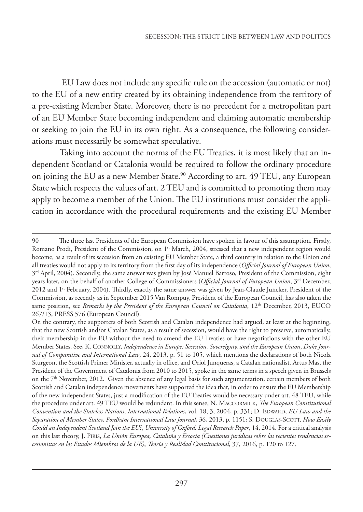EU Law does not include any specific rule on the accession (automatic or not) to the EU of a new entity created by its obtaining independence from the territory of a pre-existing Member State. Moreover, there is no precedent for a metropolitan part of an EU Member State becoming independent and claiming automatic membership or seeking to join the EU in its own right. As a consequence, the following considerations must necessarily be somewhat speculative.

Taking into account the norms of the EU Treaties, it is most likely that an independent Scotland or Catalonia would be required to follow the ordinary procedure on joining the EU as a new Member State.<sup>90</sup> According to art. 49 TEU, any European State which respects the values of art. 2 TEU and is committed to promoting them may apply to become a member of the Union. The EU institutions must consider the application in accordance with the procedural requirements and the existing EU Member

<sup>90</sup> The three last Presidents of the European Commission have spoken in favour of this assumption. Firstly, Romano Prodi, President of the Commission, on 1<sup>st</sup> March, 2004, stressed that a new independent region would become, as a result of its secession from an existing EU Member State, a third country in relation to the Union and all treaties would not apply to its territory from the first day of its independence (*Official Journal of European Union*, 3rd April, 2004). Secondly, the same answer was given by José Manuel Barroso, President of the Commission, eight years later, on the behalf of another College of Commissioners (*Official Journal of European Union*, 3rd December, 2012 and 1<sup>st</sup> February, 2004). Thirdly, exactly the same answer was given by Jean-Claude Juncker, President of the Commission, as recently as in September 2015 Van Rompuy, President of the European Council, has also taken the same position, see *Remarks by the President of the European Council on Catalonia*, 12<sup>th</sup> December, 2013, EUCO 267/13, PRESS 576 (European Council).

On the contrary, the supporters of both Scottish and Catalan independence had argued, at least at the beginning, that the new Scottish and/or Catalan States, as a result of secession, would have the right to preserve, automatically, their membership in the EU without the need to amend the EU Treaties or have negotiations with the other EU Member States. See, K. CONNOLLY, *Independence in Europe: Secession, Sovereignty, and the European Union*, *Duke Journal of Comparative and International Law*, 24, 2013, p. 51 to 105, which mentions the declarations of both Nicola Sturgeon, the Scottish Primer Minister, actually in office, and Oriol Junqueras, a Catalan nationalist. Artus Mas, the President of the Government of Catalonia from 2010 to 2015, spoke in the same terms in a speech given in Brussels on the 7th November, 2012. Given the absence of any legal basis for such argumentation, certain members of both Scottish and Catalan independence movements have supported the idea that, in order to ensure the EU Membership of the new independent States, just a modification of the EU Treaties would be necessary under art. 48 TEU, while the procedure under art. 49 TEU would be redundant. In this sense, N. MACCORMICK, *The European Constitutional Convention and the Stateless Nations*, *International Relations*, vol. 18, 3, 2004, p. 331; D. EDWARD, *EU Law and the Separation of Member State*s, *Fordham International Law Journal*, 36, 2013, p. 1151; S. DOUGLAS-SCOTT, *How Easily Could an Independent Scotland Join the EU?*, *University of Oxford. Legal Research Paper*, 14, 2014. For a critical analysis on this last theory, J. PIRIS, *La Unión Europea, Cataluña y Escocia (Cuestiones jurídicas sobre las recientes tendencias secesionistas en los Estados Miembros de la UE)*, *Teoría y Realidad Constitucional*, 37, 2016, p. 120 to 127.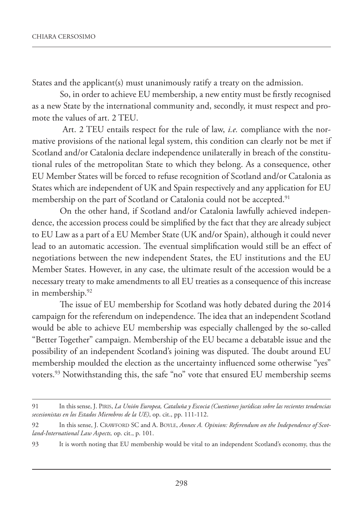States and the applicant(s) must unanimously ratify a treaty on the admission.

So, in order to achieve EU membership, a new entity must be firstly recognised as a new State by the international community and, secondly, it must respect and promote the values of art. 2 TEU.

 Art. 2 TEU entails respect for the rule of law, *i.e.* compliance with the normative provisions of the national legal system, this condition can clearly not be met if Scotland and/or Catalonia declare independence unilaterally in breach of the constitutional rules of the metropolitan State to which they belong. As a consequence, other EU Member States will be forced to refuse recognition of Scotland and/or Catalonia as States which are independent of UK and Spain respectively and any application for EU membership on the part of Scotland or Catalonia could not be accepted.<sup>91</sup>

On the other hand, if Scotland and/or Catalonia lawfully achieved independence, the accession process could be simplified by the fact that they are already subject to EU Law as a part of a EU Member State (UK and/or Spain), although it could never lead to an automatic accession. The eventual simplification would still be an effect of negotiations between the new independent States, the EU institutions and the EU Member States. However, in any case, the ultimate result of the accession would be a necessary treaty to make amendments to all EU treaties as a consequence of this increase in membership.92

The issue of EU membership for Scotland was hotly debated during the 2014 campaign for the referendum on independence. The idea that an independent Scotland would be able to achieve EU membership was especially challenged by the so-called "Better Together" campaign. Membership of the EU became a debatable issue and the possibility of an independent Scotland's joining was disputed. The doubt around EU membership moulded the election as the uncertainty influenced some otherwise "yes" voters.93 Notwithstanding this, the safe "no" vote that ensured EU membership seems

<sup>91</sup> In this sense, J. PIRIS, *La Unión Europea, Cataluña y Escocia (Cuestiones jurídicas sobre las recientes tendencias secesionistas en los Estados Miembros de la UE)*, op. cit., pp. 111-112.

<sup>92</sup> In this sense, J. CRAWFORD SC and A. BOYLE, *Annex A. Opinion: Referendum on the Independence of Scotland-International Law Aspects,* op. cit., p. 101.

<sup>93</sup> It is worth noting that EU membership would be vital to an independent Scotland's economy, thus the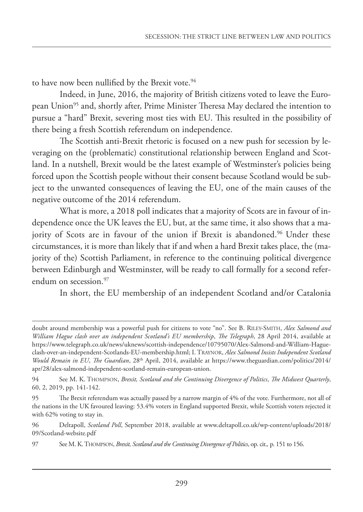to have now been nullified by the Brexit vote.<sup>94</sup>

Indeed, in June, 2016, the majority of British citizens voted to leave the European Union<sup>95</sup> and, shortly after, Prime Minister Theresa May declared the intention to pursue a "hard" Brexit, severing most ties with EU. This resulted in the possibility of there being a fresh Scottish referendum on independence.

The Scottish anti-Brexit rhetoric is focused on a new push for secession by leveraging on the (problematic) constitutional relationship between England and Scotland. In a nutshell, Brexit would be the latest example of Westminster's policies being forced upon the Scottish people without their consent because Scotland would be subject to the unwanted consequences of leaving the EU, one of the main causes of the negative outcome of the 2014 referendum.

What is more, a 2018 poll indicates that a majority of Scots are in favour of independence once the UK leaves the EU, but, at the same time, it also shows that a majority of Scots are in favour of the union if Brexit is abandoned.<sup>96</sup> Under these circumstances, it is more than likely that if and when a hard Brexit takes place, the (majority of the) Scottish Parliament, in reference to the continuing political divergence between Edinburgh and Westminster, will be ready to call formally for a second referendum on secession.<sup>97</sup>

In short, the EU membership of an independent Scotland and/or Catalonia

doubt around membership was a powerful push for citizens to vote "no". See B. RILEY-SMITH, *Alex Salmond and William Hague clash over an independent Scotland's EU membership*, *The Telegraph*, 28 April 2014, available at https://www.telegraph.co.uk/news/uknews/scottish-independence/10795070/Alex-Salmond-and-William-Hagueclash-over-an-independent-Scotlands-EU-membership.html; I. TRAYNOR, *Alex Salmond Insists Independent Scotland Would Remain in EU*, *The Guardian*, 28th April, 2014, available at https://www.theguardian.com/politics/2014/ apr/28/alex-salmond-independent-scotland-remain-european-union.

<sup>94</sup> See M. K. THOMPSON, *Brexit, Scotland and the Continuing Divergence of Politics*, *The Midwest Quarterly*, 60, 2, 2019, pp. 141-142.

<sup>95</sup> The Brexit referendum was actually passed by a narrow margin of 4% of the vote. Furthermore, not all of the nations in the UK favoured leaving: 53.4% voters in England supported Brexit, while Scottish voters rejected it with 62% voting to stay in.

<sup>96</sup> Deltapoll, *Scotland Poll*, September 2018, available at www.deltapoll.co.uk/wp-content/uploads/2018/ 09/Scotland-website.pdf

<sup>97</sup> See M. K. THOMPSON, *Brexit, Scotland and the Continuing Divergence of Politics*, op. cit.*,* p. 151 to 156.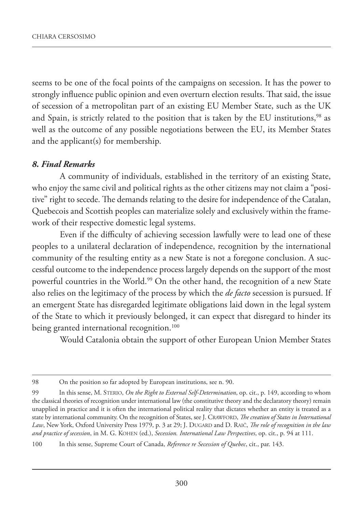seems to be one of the focal points of the campaigns on secession. It has the power to strongly influence public opinion and even overturn election results. That said, the issue of secession of a metropolitan part of an existing EU Member State, such as the UK and Spain, is strictly related to the position that is taken by the EU institutions,<sup>98</sup> as well as the outcome of any possible negotiations between the EU, its Member States and the applicant(s) for membership.

#### *8. Final Remarks*

A community of individuals, established in the territory of an existing State, who enjoy the same civil and political rights as the other citizens may not claim a "positive" right to secede. The demands relating to the desire for independence of the Catalan, Quebecois and Scottish peoples can materialize solely and exclusively within the framework of their respective domestic legal systems.

Even if the difficulty of achieving secession lawfully were to lead one of these peoples to a unilateral declaration of independence, recognition by the international community of the resulting entity as a new State is not a foregone conclusion. A successful outcome to the independence process largely depends on the support of the most powerful countries in the World.<sup>99</sup> On the other hand, the recognition of a new State also relies on the legitimacy of the process by which the *de facto* secession is pursued. If an emergent State has disregarded legitimate obligations laid down in the legal system of the State to which it previously belonged, it can expect that disregard to hinder its being granted international recognition.<sup>100</sup>

Would Catalonia obtain the support of other European Union Member States

<sup>98</sup> On the position so far adopted by European institutions, see n. 90.

<sup>99</sup> In this sense, M. STERIO, *On the Right to External Self-Determination*, op. cit., p. 149, according to whom the classical theories of recognition under international law (the constitutive theory and the declaratory theory) remain unapplied in practice and it is often the international political reality that dictates whether an entity is treated as a state by international community. On the recognition of States, see J. CRAWFORD, *The creation of States in International Law*, New York, Oxford University Press 1979, p. 3 at 29; J. DUGARD and D. RAIČ, *The role of recognition in the law and practice of secession*, in M. G. KOHEN (ed.), *Secession. International Law Perspectives*, op. cit., p. 94 at 111.

<sup>100</sup> In this sense, Supreme Court of Canada, *Reference re Secession of Quebec*, cit., par. 143.